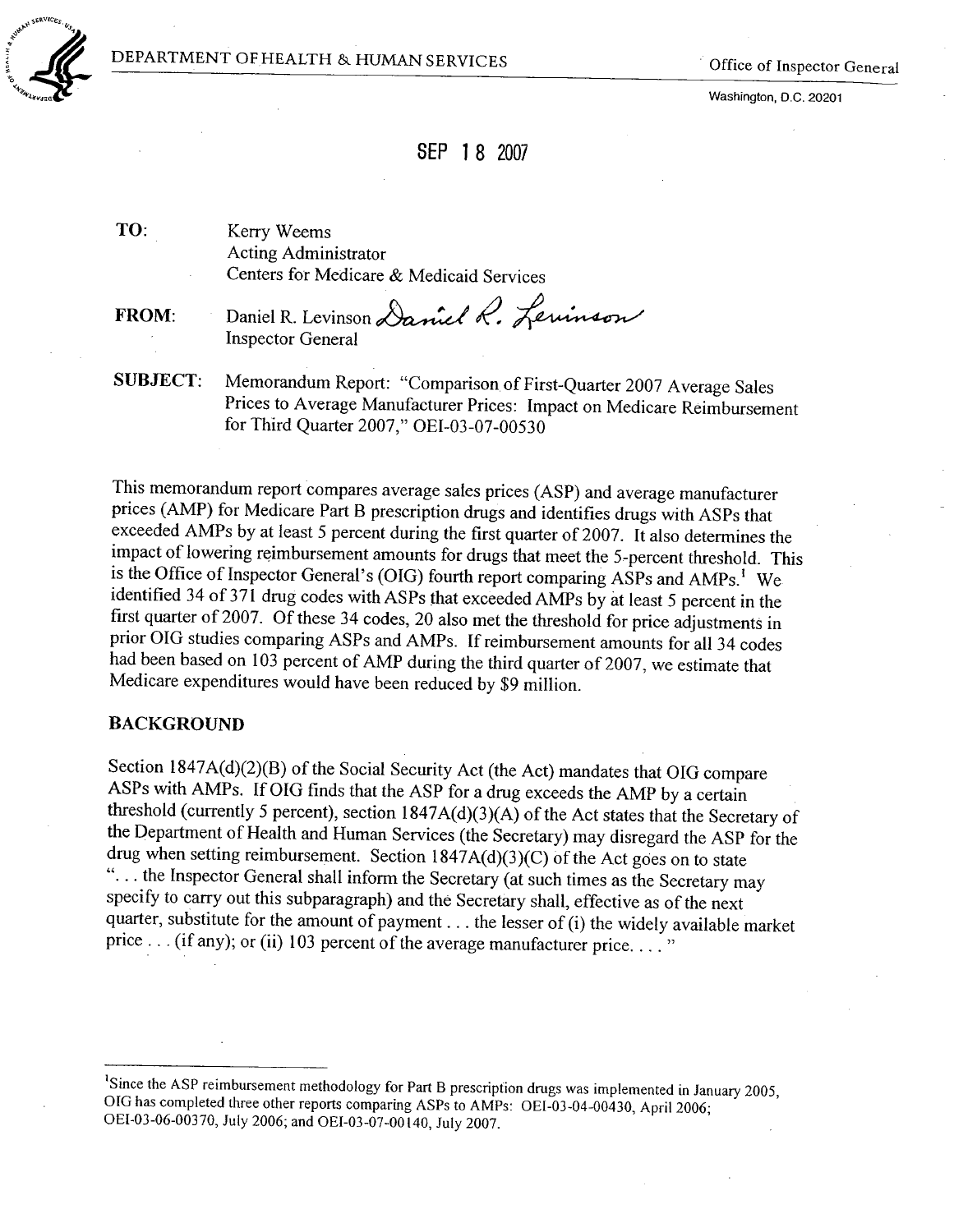

SERVICES.,

 $\sim$ 



Washington, D.C. 20201

# SEP 1 8 2007

TO: Kerry Weems Acting Administrator Centers for Medicare & Medicaid Services

FROM: Daniel R. Levinson Daniel R. Lewinson Inspector General

SUBJECT: Memorandum Report: "Comparison of First-Quarter 2007 Average Sales Prices to Average Manufacturer Prices: Impact on Medicare Reimbursement for Third Quarter 2007," OEI-OJ-07-00530

This memorandum report compares average sales prices (ASP) and average manufacturer prices (AMP) for Medicare Part B prescription drugs and identifies drugs with ASPs that exceeded AMPs by at least 5 percent during the first quarter of 2007. It also determines the impact of lowerìng reimbursement amounts for drugs that meet the 5-percent threshold. This is the Office of Inspector General's (OIG) fourth report comparing ASPs and AMPs.<sup>1</sup> We identified 34 of 371 drug codes with ASPs that exceeded AMPs by at least 5 percent in the first quarter of 2007. Of these 34 codes, 20 also met the threshold for price adjustments in prior OIG studies comparing ASPs and AMPs. If reimbursement amounts for all 34 codes had been based on 103 percent of AMP during the third quarter of 2007, we estimate that Medicare expenditures would have been reduced by \$9 milion.

#### BACKGROUND

Section 1847A(d)(2)(B) of the Social Security Act (the Act) mandates that OIG compare ASPS with AMPs. If OIG finds that the ASP for a drug exceeds the AMP by a certain threshold (currently 5 percent), section  $1847A(d)(3)(A)$  of the Act states that the Secretary of the Department of Health and Human Services (the Secretary) may disregard the ASP for the drug when setting reimbursement. Section  $1847A(d)(3)(C)$  of the Act goes on to state "... the Inspector General shall inform the Secretary (at such times as the Secretary may specify to carry out this subparagraph) and the Secretary shall, effective as of the next quarter, substitute for the amount of payment. . . the lesser of (i) the widely available market price  $\dots$  (if any); or (ii) 103 percent of the average manufacturer price...."

<sup>1</sup>Since the ASP reimbursement methodology for Part B prescription drugs was implemented in January 2005, OIG has completed three other reports comparing ASPs to AMPs: OEI-03-04-00430, April 2006; OEI-03-06-00370, July 2006; and OEI-03-07-00 140, July 2007.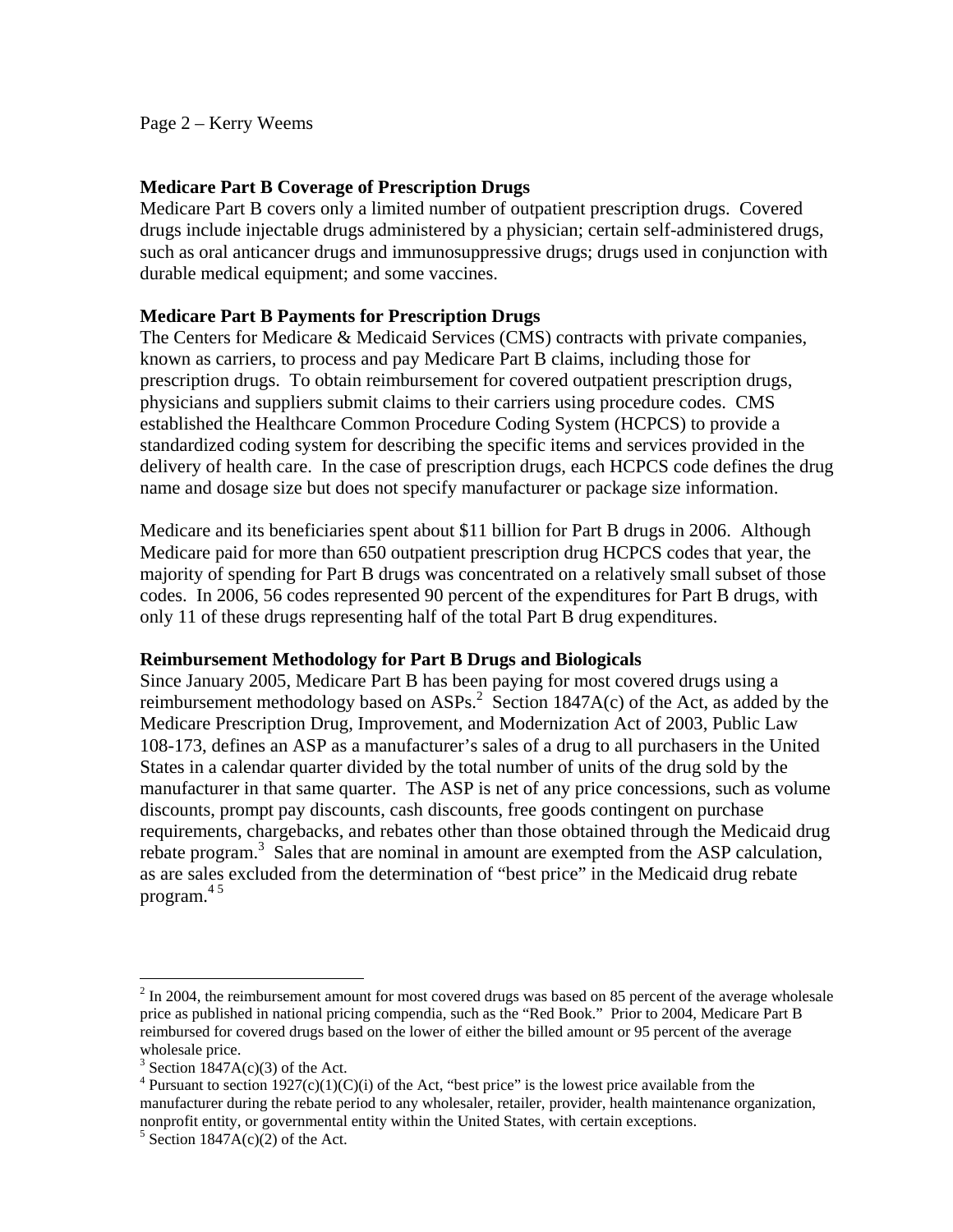Page 2 – Kerry Weems

### **Medicare Part B Coverage of Prescription Drugs**

Medicare Part B covers only a limited number of outpatient prescription drugs. Covered drugs include injectable drugs administered by a physician; certain self-administered drugs, such as oral anticancer drugs and immunosuppressive drugs; drugs used in conjunction with durable medical equipment; and some vaccines.

### **Medicare Part B Payments for Prescription Drugs**

The Centers for Medicare & Medicaid Services (CMS) contracts with private companies, known as carriers, to process and pay Medicare Part B claims, including those for prescription drugs. To obtain reimbursement for covered outpatient prescription drugs, physicians and suppliers submit claims to their carriers using procedure codes. CMS established the Healthcare Common Procedure Coding System (HCPCS) to provide a standardized coding system for describing the specific items and services provided in the delivery of health care. In the case of prescription drugs, each HCPCS code defines the drug name and dosage size but does not specify manufacturer or package size information.

Medicare and its beneficiaries spent about \$11 billion for Part B drugs in 2006. Although Medicare paid for more than 650 outpatient prescription drug HCPCS codes that year, the majority of spending for Part B drugs was concentrated on a relatively small subset of those codes. In 2006, 56 codes represented 90 percent of the expenditures for Part B drugs, with only 11 of these drugs representing half of the total Part B drug expenditures.

#### **Reimbursement Methodology for Part B Drugs and Biologicals**

Since January 2005, Medicare Part B has been paying for most covered drugs using a reimbursement methodology based on  $ASPs<sup>2</sup>$ . Section 1847A(c) of the Act, as added by the Medicare Prescription Drug, Improvement, and Modernization Act of 2003, Public Law 108-173, defines an ASP as a manufacturer's sales of a drug to all purchasers in the United States in a calendar quarter divided by the total number of units of the drug sold by the manufacturer in that same quarter. The ASP is net of any price concessions, such as volume discounts, prompt pay discounts, cash discounts, free goods contingent on purchase requirements, chargebacks, and rebates other than those obtained through the Medicaid drug rebate program.<sup>3</sup> Sales that are nominal in amount are exempted from the ASP calculation, as are sales excluded from the determination of "best price" in the Medicaid drug rebate program. $45$ 

 $\overline{a}$ 

 reimbursed for covered drugs based on the lower of either the billed amount or 95 percent of the average  $2 \text{ In } 2004$ , the reimbursement amount for most covered drugs was based on 85 percent of the average wholesale price as published in national pricing compendia, such as the "Red Book." Prior to 2004, Medicare Part B wholesale price.

 $3$  Section 1847A(c)(3) of the Act.

<sup>&</sup>lt;sup>4</sup> Pursuant to section 1927(c)(1)(C)(i) of the Act, "best price" is the lowest price available from the manufacturer during the rebate period to any wholesaler, retailer, provider, health maintenance organization, nonprofit entity, or governmental entity within the United States, with certain exceptions.

 $5$  Section 1847A(c)(2) of the Act.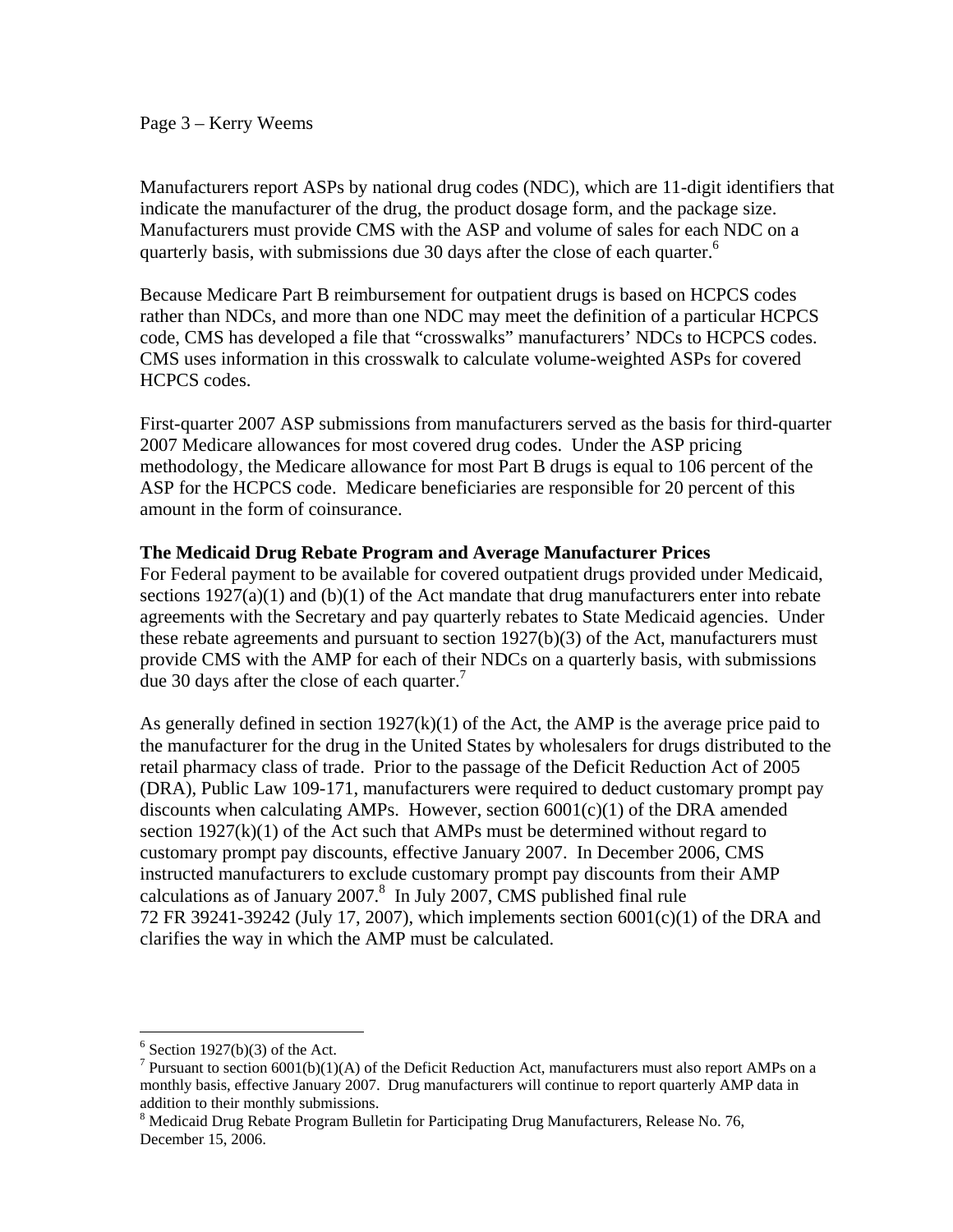#### Page 3 – Kerry Weems

Manufacturers report ASPs by national drug codes (NDC), which are 11-digit identifiers that indicate the manufacturer of the drug, the product dosage form, and the package size. Manufacturers must provide CMS with the ASP and volume of sales for each NDC on a quarterly basis, with submissions due 30 days after the close of each quarter.<sup>6</sup>

Because Medicare Part B reimbursement for outpatient drugs is based on HCPCS codes rather than NDCs, and more than one NDC may meet the definition of a particular HCPCS code, CMS has developed a file that "crosswalks" manufacturers' NDCs to HCPCS codes. CMS uses information in this crosswalk to calculate volume-weighted ASPs for covered HCPCS codes.

First-quarter 2007 ASP submissions from manufacturers served as the basis for third-quarter 2007 Medicare allowances for most covered drug codes. Under the ASP pricing methodology, the Medicare allowance for most Part B drugs is equal to 106 percent of the ASP for the HCPCS code. Medicare beneficiaries are responsible for 20 percent of this amount in the form of coinsurance.

### **The Medicaid Drug Rebate Program and Average Manufacturer Prices**

due 30 days after the close of each quarter.<sup>7</sup> For Federal payment to be available for covered outpatient drugs provided under Medicaid, sections  $1927(a)(1)$  and  $(b)(1)$  of the Act mandate that drug manufacturers enter into rebate agreements with the Secretary and pay quarterly rebates to State Medicaid agencies. Under these rebate agreements and pursuant to section 1927(b)(3) of the Act, manufacturers must provide CMS with the AMP for each of their NDCs on a quarterly basis, with submissions

As generally defined in section  $1927(k)(1)$  of the Act, the AMP is the average price paid to the manufacturer for the drug in the United States by wholesalers for drugs distributed to the retail pharmacy class of trade. Prior to the passage of the Deficit Reduction Act of 2005 (DRA), Public Law 109-171, manufacturers were required to deduct customary prompt pay discounts when calculating AMPs. However, section  $6001(c)(1)$  of the DRA amended section  $1927(k)(1)$  of the Act such that AMPs must be determined without regard to customary prompt pay discounts, effective January 2007. In December 2006, CMS instructed manufacturers to exclude customary prompt pay discounts from their AMP calculations as of January  $2007<sup>8</sup>$  In July 2007, CMS published final rule 72 FR 39241-39242 (July 17, 2007), which implements section 6001(c)(1) of the DRA and clarifies the way in which the AMP must be calculated.

 $\overline{a}$ 

 $6$  Section 1927(b)(3) of the Act.

<sup>&</sup>lt;sup>7</sup> Pursuant to section  $6001(b)(1)(A)$  of the Deficit Reduction Act, manufacturers must also report AMPs on a monthly basis, effective January 2007. Drug manufacturers will continue to report quarterly AMP data in addition to their monthly submissions.

<sup>&</sup>lt;sup>8</sup> Medicaid Drug Rebate Program Bulletin for Participating Drug Manufacturers, Release No. 76, December 15, 2006.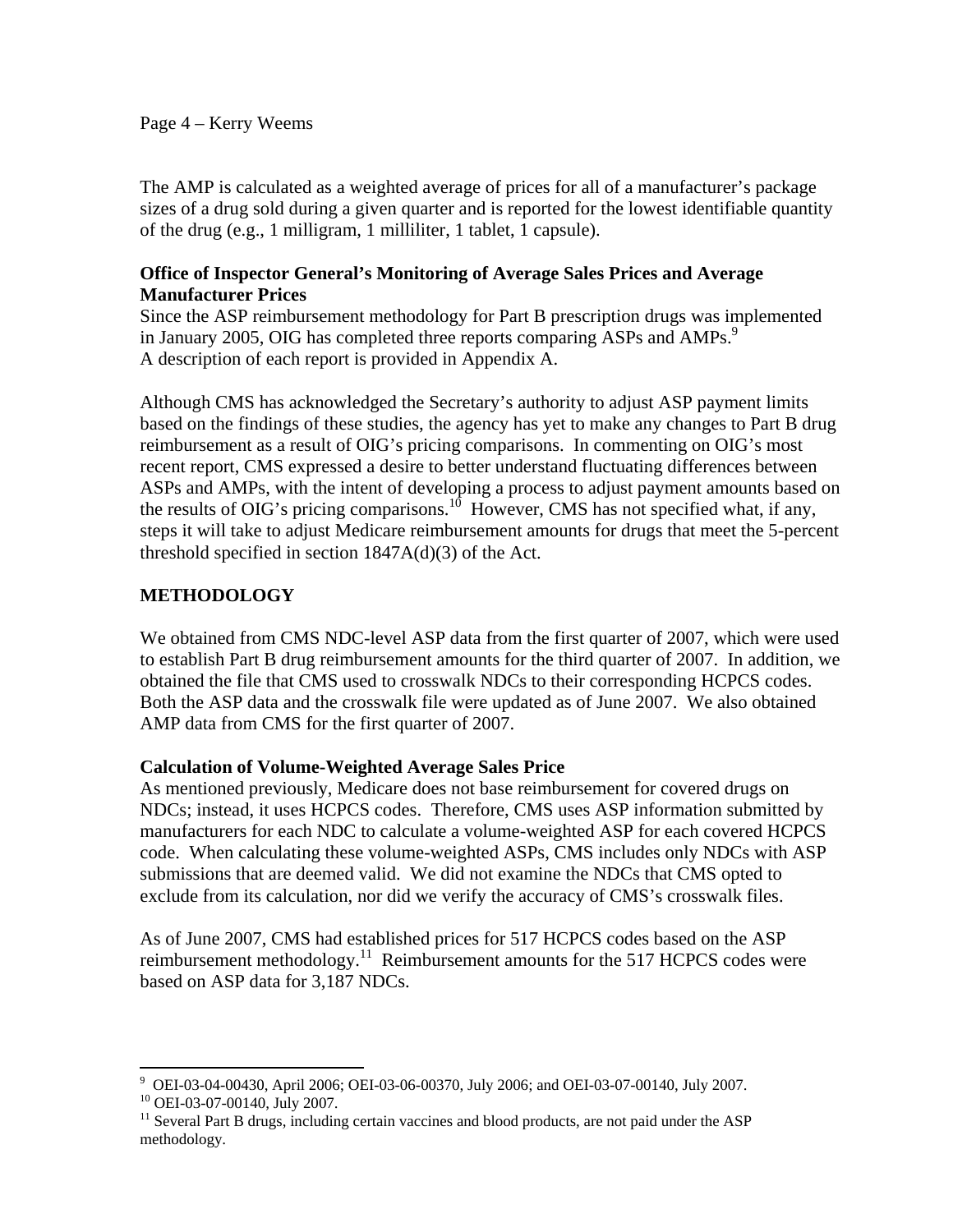#### Page 4 – Kerry Weems

The AMP is calculated as a weighted average of prices for all of a manufacturer's package sizes of a drug sold during a given quarter and is reported for the lowest identifiable quantity of the drug (e.g., 1 milligram, 1 milliliter, 1 tablet, 1 capsule).

#### **Office of Inspector General's Monitoring of Average Sales Prices and Average Manufacturer Prices**

in January 2005, OIG has completed three reports comparing ASPs and AMPs.<sup>9</sup> Since the ASP reimbursement methodology for Part B prescription drugs was implemented A description of each report is provided in Appendix A.

Although CMS has acknowledged the Secretary's authority to adjust ASP payment limits based on the findings of these studies, the agency has yet to make any changes to Part B drug reimbursement as a result of OIG's pricing comparisons. In commenting on OIG's most recent report, CMS expressed a desire to better understand fluctuating differences between ASPs and AMPs, with the intent of developing a process to adjust payment amounts based on the results of OIG's pricing comparisons.<sup>10</sup> However, CMS has not specified what, if any, steps it will take to adjust Medicare reimbursement amounts for drugs that meet the 5-percent threshold specified in section  $1847A(d)(3)$  of the Act.

# **METHODOLOGY**

We obtained from CMS NDC-level ASP data from the first quarter of 2007, which were used to establish Part B drug reimbursement amounts for the third quarter of 2007. In addition, we obtained the file that CMS used to crosswalk NDCs to their corresponding HCPCS codes. Both the ASP data and the crosswalk file were updated as of June 2007. We also obtained AMP data from CMS for the first quarter of 2007.

#### **Calculation of Volume-Weighted Average Sales Price**

As mentioned previously, Medicare does not base reimbursement for covered drugs on NDCs; instead, it uses HCPCS codes. Therefore, CMS uses ASP information submitted by manufacturers for each NDC to calculate a volume-weighted ASP for each covered HCPCS code. When calculating these volume-weighted ASPs, CMS includes only NDCs with ASP submissions that are deemed valid. We did not examine the NDCs that CMS opted to exclude from its calculation, nor did we verify the accuracy of CMS's crosswalk files.

As of June 2007, CMS had established prices for 517 HCPCS codes based on the ASP reimbursement methodology.<sup>11</sup> Reimbursement amounts for the 517 HCPCS codes were based on ASP data for 3,187 NDCs.

 $\overline{a}$ 9 OEI-03-04-00430, April 2006; OEI-03-06-00370, July 2006; and OEI-03-07-00140, July 2007.

<sup>10</sup> OEI-03-07-00140, July 2007.

 methodology. <sup>11</sup> Several Part B drugs, including certain vaccines and blood products, are not paid under the ASP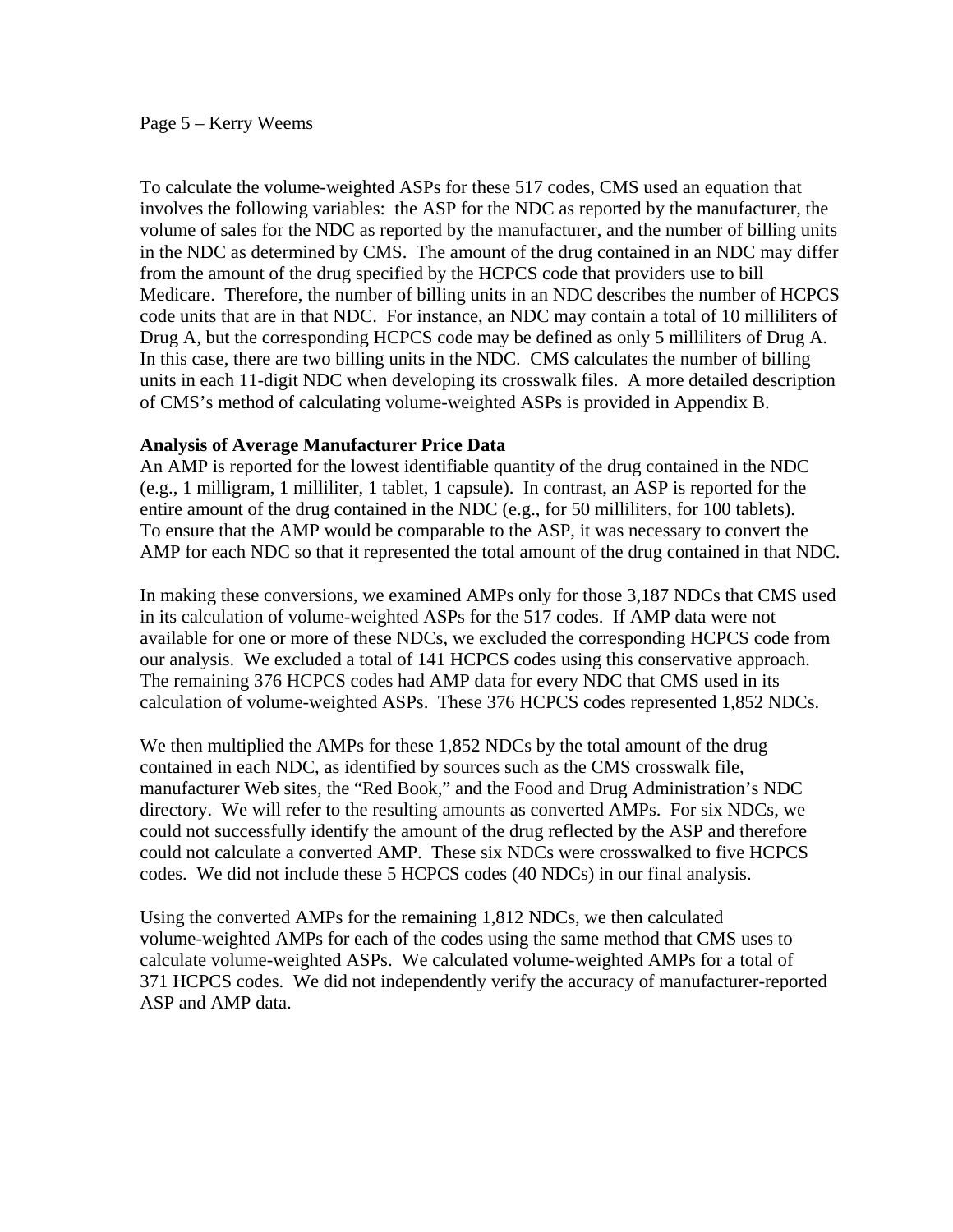#### Page 5 – Kerry Weems

To calculate the volume-weighted ASPs for these 517 codes, CMS used an equation that involves the following variables: the ASP for the NDC as reported by the manufacturer, the volume of sales for the NDC as reported by the manufacturer, and the number of billing units in the NDC as determined by CMS. The amount of the drug contained in an NDC may differ from the amount of the drug specified by the HCPCS code that providers use to bill Medicare. Therefore, the number of billing units in an NDC describes the number of HCPCS code units that are in that NDC. For instance, an NDC may contain a total of 10 milliliters of Drug A, but the corresponding HCPCS code may be defined as only 5 milliliters of Drug A. In this case, there are two billing units in the NDC. CMS calculates the number of billing units in each 11-digit NDC when developing its crosswalk files. A more detailed description of CMS's method of calculating volume-weighted ASPs is provided in Appendix B.

#### **Analysis of Average Manufacturer Price Data**

An AMP is reported for the lowest identifiable quantity of the drug contained in the NDC (e.g., 1 milligram, 1 milliliter, 1 tablet, 1 capsule). In contrast, an ASP is reported for the entire amount of the drug contained in the NDC (e.g., for 50 milliliters, for 100 tablets). To ensure that the AMP would be comparable to the ASP, it was necessary to convert the AMP for each NDC so that it represented the total amount of the drug contained in that NDC.

In making these conversions, we examined AMPs only for those 3,187 NDCs that CMS used in its calculation of volume-weighted ASPs for the 517 codes. If AMP data were not available for one or more of these NDCs, we excluded the corresponding HCPCS code from our analysis. We excluded a total of 141 HCPCS codes using this conservative approach. The remaining 376 HCPCS codes had AMP data for every NDC that CMS used in its calculation of volume-weighted ASPs. These 376 HCPCS codes represented 1,852 NDCs.

We then multiplied the AMPs for these 1,852 NDCs by the total amount of the drug contained in each NDC, as identified by sources such as the CMS crosswalk file, manufacturer Web sites, the "Red Book," and the Food and Drug Administration's NDC directory. We will refer to the resulting amounts as converted AMPs. For six NDCs, we could not successfully identify the amount of the drug reflected by the ASP and therefore could not calculate a converted AMP. These six NDCs were crosswalked to five HCPCS codes. We did not include these 5 HCPCS codes (40 NDCs) in our final analysis.

Using the converted AMPs for the remaining 1,812 NDCs, we then calculated volume-weighted AMPs for each of the codes using the same method that CMS uses to calculate volume-weighted ASPs. We calculated volume-weighted AMPs for a total of 371 HCPCS codes. We did not independently verify the accuracy of manufacturer-reported ASP and AMP data.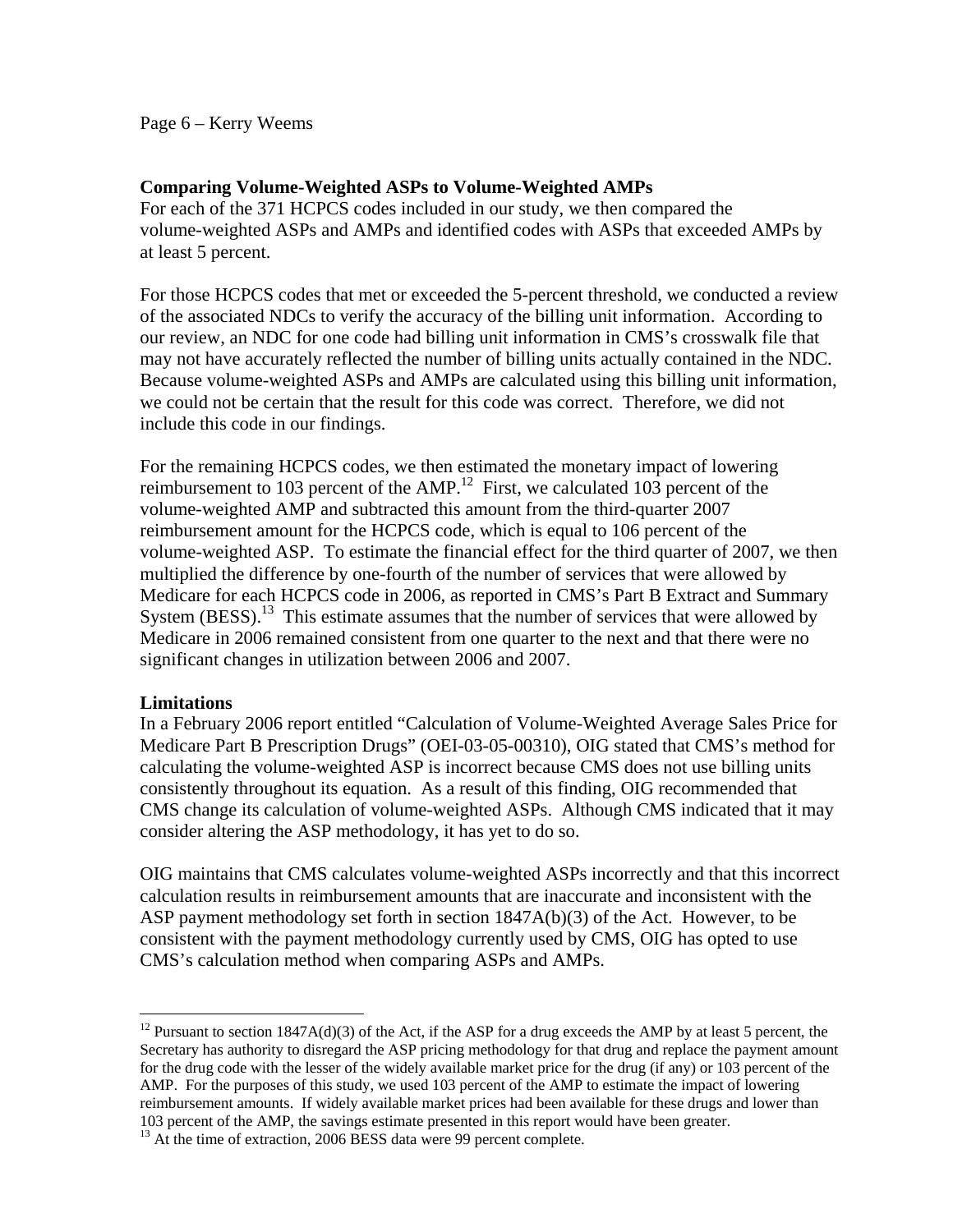#### Page 6 – Kerry Weems

#### **Comparing Volume-Weighted ASPs to Volume-Weighted AMPs**

For each of the 371 HCPCS codes included in our study, we then compared the volume-weighted ASPs and AMPs and identified codes with ASPs that exceeded AMPs by at least 5 percent.

For those HCPCS codes that met or exceeded the 5-percent threshold, we conducted a review of the associated NDCs to verify the accuracy of the billing unit information. According to our review, an NDC for one code had billing unit information in CMS's crosswalk file that may not have accurately reflected the number of billing units actually contained in the NDC. Because volume-weighted ASPs and AMPs are calculated using this billing unit information, we could not be certain that the result for this code was correct. Therefore, we did not include this code in our findings.

For the remaining HCPCS codes, we then estimated the monetary impact of lowering reimbursement to 103 percent of the AMP.<sup>12</sup> First, we calculated 103 percent of the volume-weighted AMP and subtracted this amount from the third-quarter 2007 reimbursement amount for the HCPCS code, which is equal to 106 percent of the volume-weighted ASP. To estimate the financial effect for the third quarter of 2007, we then multiplied the difference by one-fourth of the number of services that were allowed by Medicare for each HCPCS code in 2006, as reported in CMS's Part B Extract and Summary System  $(BESS)$ <sup>13</sup>. This estimate assumes that the number of services that were allowed by Medicare in 2006 remained consistent from one quarter to the next and that there were no significant changes in utilization between 2006 and 2007.

#### **Limitations**

 $\overline{a}$ 

In a February 2006 report entitled "Calculation of Volume-Weighted Average Sales Price for Medicare Part B Prescription Drugs" (OEI-03-05-00310), OIG stated that CMS's method for calculating the volume-weighted ASP is incorrect because CMS does not use billing units consistently throughout its equation. As a result of this finding, OIG recommended that CMS change its calculation of volume-weighted ASPs. Although CMS indicated that it may consider altering the ASP methodology, it has yet to do so.

OIG maintains that CMS calculates volume-weighted ASPs incorrectly and that this incorrect calculation results in reimbursement amounts that are inaccurate and inconsistent with the ASP payment methodology set forth in section 1847A(b)(3) of the Act. However, to be consistent with the payment methodology currently used by CMS, OIG has opted to use CMS's calculation method when comparing ASPs and AMPs.

 AMP. For the purposes of this study, we used 103 percent of the AMP to estimate the impact of lowering 103 percent of the AMP, the savings estimate presented in this report would have been greater. <sup>12</sup> Pursuant to section 1847A(d)(3) of the Act, if the ASP for a drug exceeds the AMP by at least 5 percent, the Secretary has authority to disregard the ASP pricing methodology for that drug and replace the payment amount for the drug code with the lesser of the widely available market price for the drug (if any) or 103 percent of the reimbursement amounts. If widely available market prices had been available for these drugs and lower than

<sup>&</sup>lt;sup>13</sup> At the time of extraction, 2006 BESS data were 99 percent complete.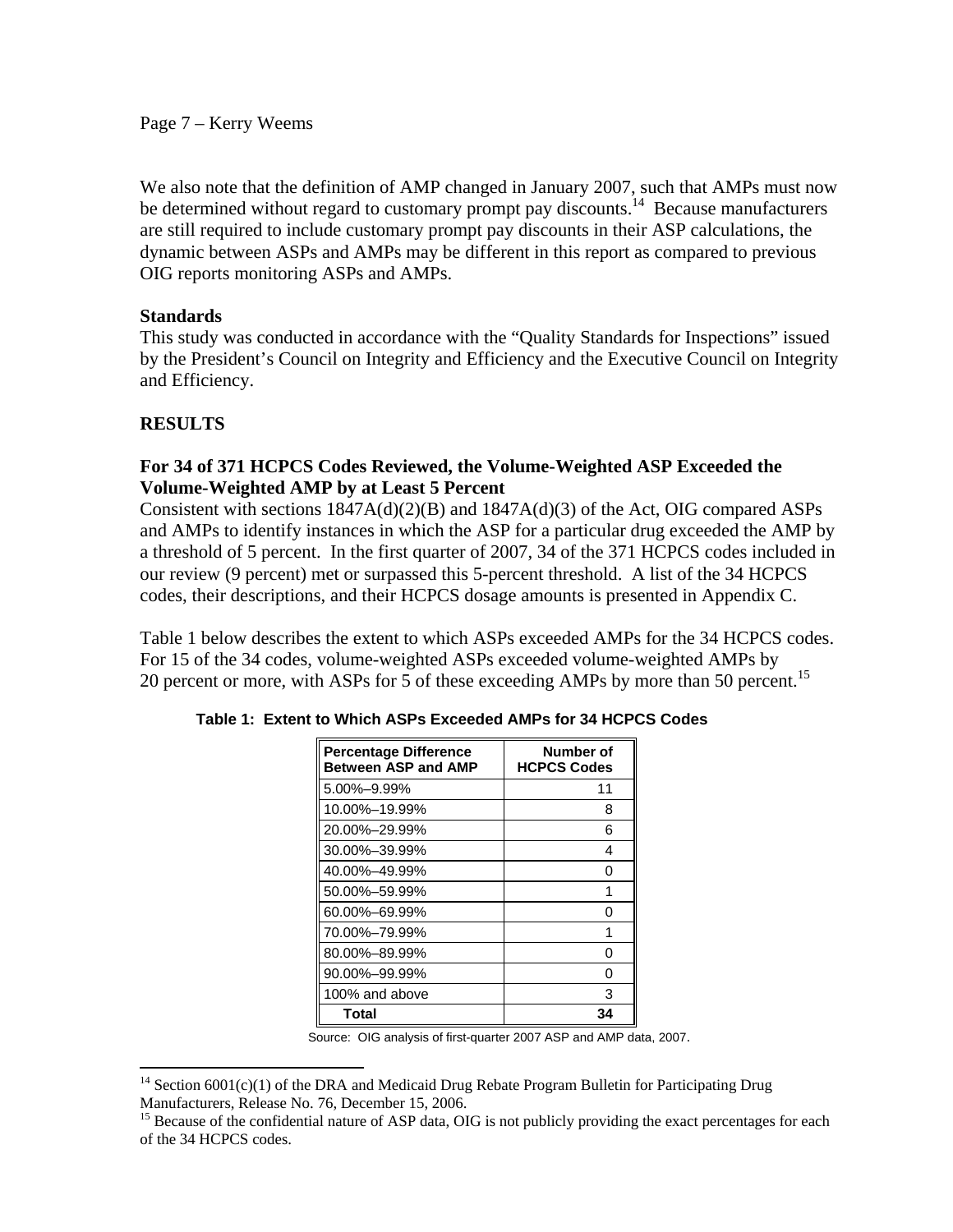Page 7 – Kerry Weems

We also note that the definition of AMP changed in January 2007, such that AMPs must now be determined without regard to customary prompt pay discounts.<sup>14</sup> Because manufacturers are still required to include customary prompt pay discounts in their ASP calculations, the dynamic between ASPs and AMPs may be different in this report as compared to previous OIG reports monitoring ASPs and AMPs.

### **Standards**

This study was conducted in accordance with the "Quality Standards for Inspections" issued by the President's Council on Integrity and Efficiency and the Executive Council on Integrity and Efficiency.

## **RESULTS**

 $\overline{a}$ 

## **For 34 of 371 HCPCS Codes Reviewed, the Volume-Weighted ASP Exceeded the Volume-Weighted AMP by at Least 5 Percent**

Consistent with sections 1847A(d)(2)(B) and 1847A(d)(3) of the Act, OIG compared ASPs and AMPs to identify instances in which the ASP for a particular drug exceeded the AMP by a threshold of 5 percent. In the first quarter of 2007, 34 of the 371 HCPCS codes included in our review (9 percent) met or surpassed this 5-percent threshold. A list of the 34 HCPCS codes, their descriptions, and their HCPCS dosage amounts is presented in Appendix C.

20 percent or more, with ASPs for 5 of these exceeding AMPs by more than 50 percent.<sup>15</sup> Table 1 below describes the extent to which ASPs exceeded AMPs for the 34 HCPCS codes. For 15 of the 34 codes, volume-weighted ASPs exceeded volume-weighted AMPs by

| <b>Percentage Difference</b><br><b>Between ASP and AMP</b> | Number of<br><b>HCPCS Codes</b> |
|------------------------------------------------------------|---------------------------------|
| 5.00%-9.99%                                                | 11                              |
| 10.00%-19.99%                                              | 8                               |
| 20.00%-29.99%                                              | 6                               |
| 30.00%-39.99%                                              | 4                               |
| 40.00%-49.99%                                              | O                               |
| 50.00%-59.99%                                              | 1                               |
| 60.00%-69.99%                                              | ი                               |
| 70.00%-79.99%                                              | 1                               |
| 80.00%-89.99%                                              | ი                               |
| 90.00%-99.99%                                              | O                               |
| 100% and above                                             | 3                               |
| Total                                                      | 34                              |

|  |  |  | Table 1: Extent to Which ASPs Exceeded AMPs for 34 HCPCS Codes |  |  |  |  |
|--|--|--|----------------------------------------------------------------|--|--|--|--|
|--|--|--|----------------------------------------------------------------|--|--|--|--|

Source: OIG analysis of first-quarter 2007 ASP and AMP data, 2007.

<sup>&</sup>lt;sup>14</sup> Section  $6001(c)(1)$  of the DRA and Medicaid Drug Rebate Program Bulletin for Participating Drug Manufacturers, Release No. 76, December 15, 2006.<br><sup>15</sup> Because of the confidential nature of ASP data, OIG is not publicly providing the exact percentages for each

of the 34 HCPCS codes.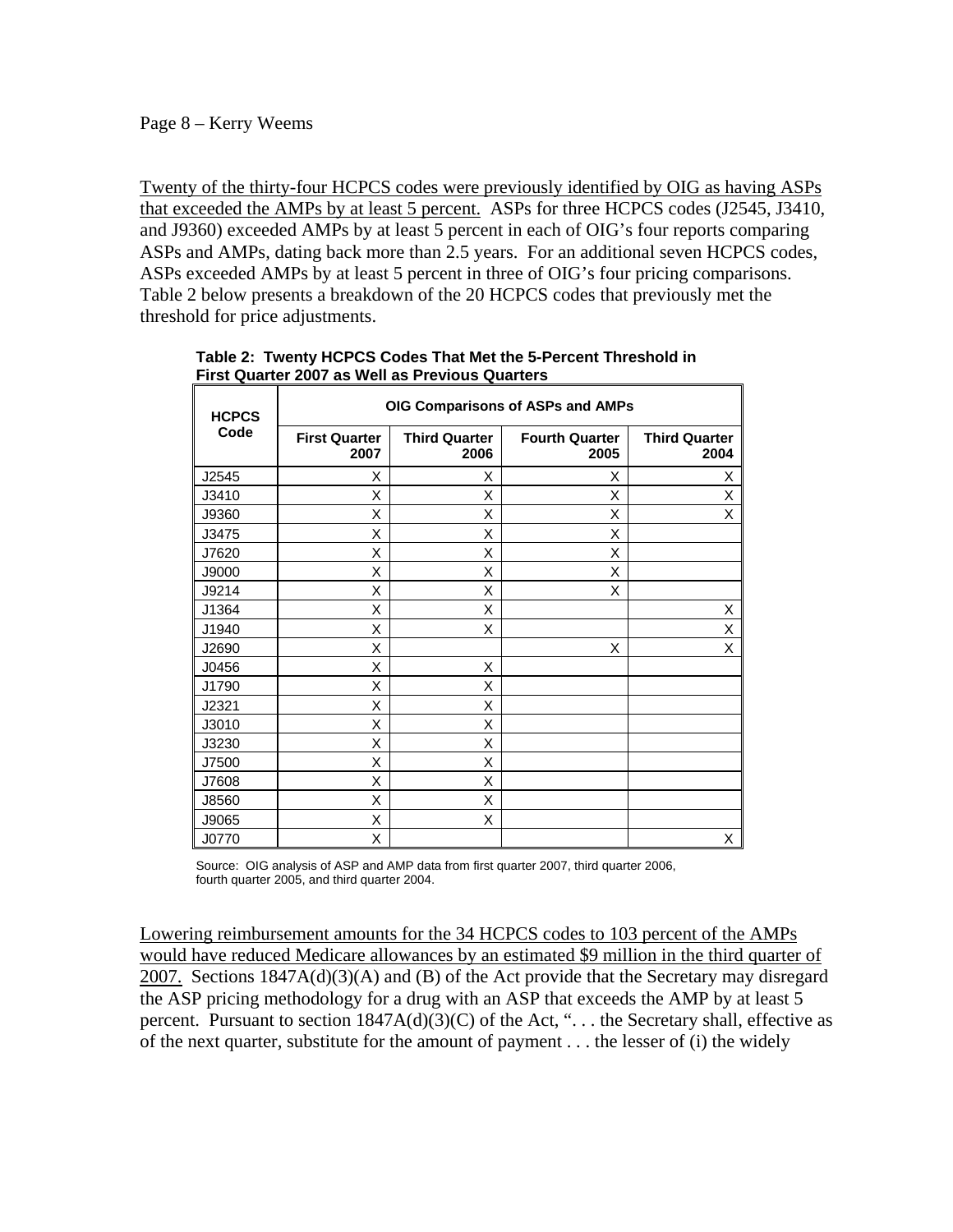#### Page 8 – Kerry Weems

Twenty of the thirty-four HCPCS codes were previously identified by OIG as having ASPs that exceeded the AMPs by at least 5 percent. ASPs for three HCPCS codes (J2545, J3410, and J9360) exceeded AMPs by at least 5 percent in each of OIG's four reports comparing ASPs and AMPs, dating back more than 2.5 years. For an additional seven HCPCS codes, ASPs exceeded AMPs by at least 5 percent in three of OIG's four pricing comparisons. Table 2 below presents a breakdown of the 20 HCPCS codes that previously met the threshold for price adjustments.

| <b>HCPCS</b> | OIG Comparisons of ASPs and AMPs |                              |                               |                              |  |  |
|--------------|----------------------------------|------------------------------|-------------------------------|------------------------------|--|--|
| Code         | <b>First Quarter</b><br>2007     | <b>Third Quarter</b><br>2006 | <b>Fourth Quarter</b><br>2005 | <b>Third Quarter</b><br>2004 |  |  |
| J2545        | X                                | X                            | X                             | X                            |  |  |
| J3410        | X                                | Χ                            | X                             | Χ                            |  |  |
| J9360        | X                                | Χ                            | X                             | X                            |  |  |
| J3475        | X                                | X                            | X                             |                              |  |  |
| J7620        | X                                | X                            | X                             |                              |  |  |
| J9000        | X                                | X                            | X                             |                              |  |  |
| J9214        | Χ                                | X                            | X                             |                              |  |  |
| J1364        | X                                | X                            |                               | X                            |  |  |
| J1940        | Χ                                | X                            |                               | Χ                            |  |  |
| J2690        | X                                |                              | X                             | X                            |  |  |
| J0456        | X                                | X                            |                               |                              |  |  |
| J1790        | X                                | X                            |                               |                              |  |  |
| J2321        | X                                | X                            |                               |                              |  |  |
| J3010        | X                                | X                            |                               |                              |  |  |
| J3230        | X                                | X                            |                               |                              |  |  |
| J7500        | X                                | X                            |                               |                              |  |  |
| J7608        | X                                | X                            |                               |                              |  |  |
| J8560        | x                                | X                            |                               |                              |  |  |
| J9065        | X                                | X                            |                               |                              |  |  |
| J0770        | Χ                                |                              |                               | X                            |  |  |

**Table 2: Twenty HCPCS Codes That Met the 5-Percent Threshold in First Quarter 2007 as Well as Previous Quarters** 

Source: OIG analysis of ASP and AMP data from first quarter 2007, third quarter 2006, fourth quarter 2005, and third quarter 2004.

Lowering reimbursement amounts for the 34 HCPCS codes to 103 percent of the AMPs would have reduced Medicare allowances by an estimated \$9 million in the third quarter of 2007. Sections 1847A(d)(3)(A) and (B) of the Act provide that the Secretary may disregard the ASP pricing methodology for a drug with an ASP that exceeds the AMP by at least 5 percent. Pursuant to section  $1847A(d)(3)(C)$  of the Act, "... the Secretary shall, effective as of the next quarter, substitute for the amount of payment . . . the lesser of (i) the widely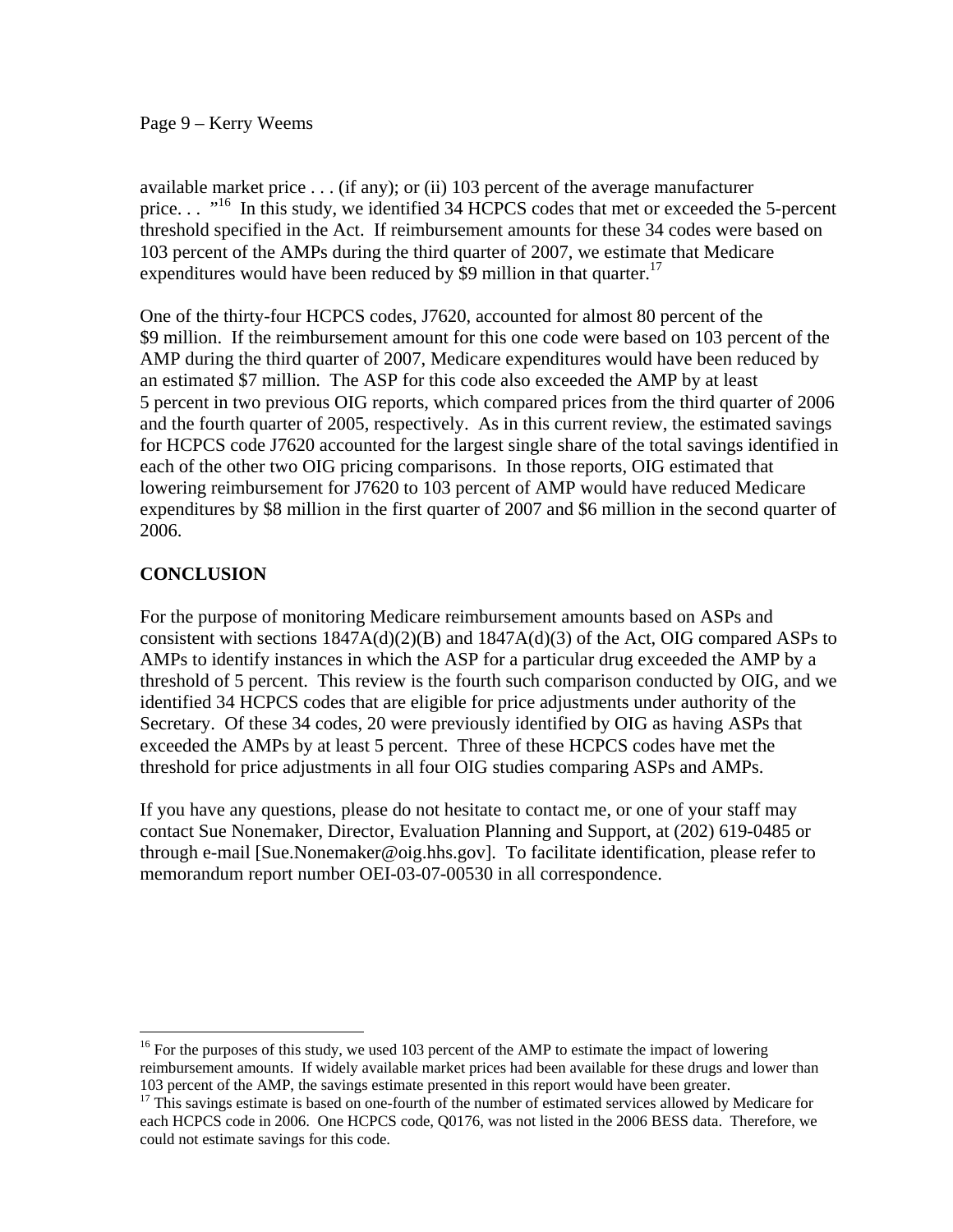#### Page 9 – Kerry Weems

expenditures would have been reduced by \$9 million in that quarter.<sup>17</sup> available market price . . . (if any); or (ii) 103 percent of the average manufacturer price. . . "<sup>16</sup> In this study, we identified 34 HCPCS codes that met or exceeded the 5-percent threshold specified in the Act. If reimbursement amounts for these 34 codes were based on 103 percent of the AMPs during the third quarter of 2007, we estimate that Medicare

One of the thirty-four HCPCS codes, J7620, accounted for almost 80 percent of the \$9 million. If the reimbursement amount for this one code were based on 103 percent of the AMP during the third quarter of 2007, Medicare expenditures would have been reduced by an estimated \$7 million. The ASP for this code also exceeded the AMP by at least 5 percent in two previous OIG reports, which compared prices from the third quarter of 2006 and the fourth quarter of 2005, respectively. As in this current review, the estimated savings for HCPCS code J7620 accounted for the largest single share of the total savings identified in each of the other two OIG pricing comparisons. In those reports, OIG estimated that lowering reimbursement for J7620 to 103 percent of AMP would have reduced Medicare expenditures by \$8 million in the first quarter of 2007 and \$6 million in the second quarter of 2006.

## **CONCLUSION**

 $\overline{a}$ 

For the purpose of monitoring Medicare reimbursement amounts based on ASPs and consistent with sections  $1847A(d)(2)(B)$  and  $1847A(d)(3)$  of the Act, OIG compared ASPs to AMPs to identify instances in which the ASP for a particular drug exceeded the AMP by a threshold of 5 percent. This review is the fourth such comparison conducted by OIG, and we identified 34 HCPCS codes that are eligible for price adjustments under authority of the Secretary. Of these 34 codes, 20 were previously identified by OIG as having ASPs that exceeded the AMPs by at least 5 percent. Three of these HCPCS codes have met the threshold for price adjustments in all four OIG studies comparing ASPs and AMPs.

If you have any questions, please do not hesitate to contact me, or one of your staff may contact Sue Nonemaker, Director, Evaluation Planning and Support, at (202) 619-0485 or through e-mail [Sue.Nonemaker@oig.hhs.gov]. To facilitate identification, please refer to memorandum report number OEI-03-07-00530 in all correspondence.

 103 percent of the AMP, the savings estimate presented in this report would have been greater.  $16$  For the purposes of this study, we used 103 percent of the AMP to estimate the impact of lowering reimbursement amounts. If widely available market prices had been available for these drugs and lower than

<sup>&</sup>lt;sup>17</sup> This savings estimate is based on one-fourth of the number of estimated services allowed by Medicare for each HCPCS code in 2006. One HCPCS code, Q0176, was not listed in the 2006 BESS data. Therefore, we could not estimate savings for this code.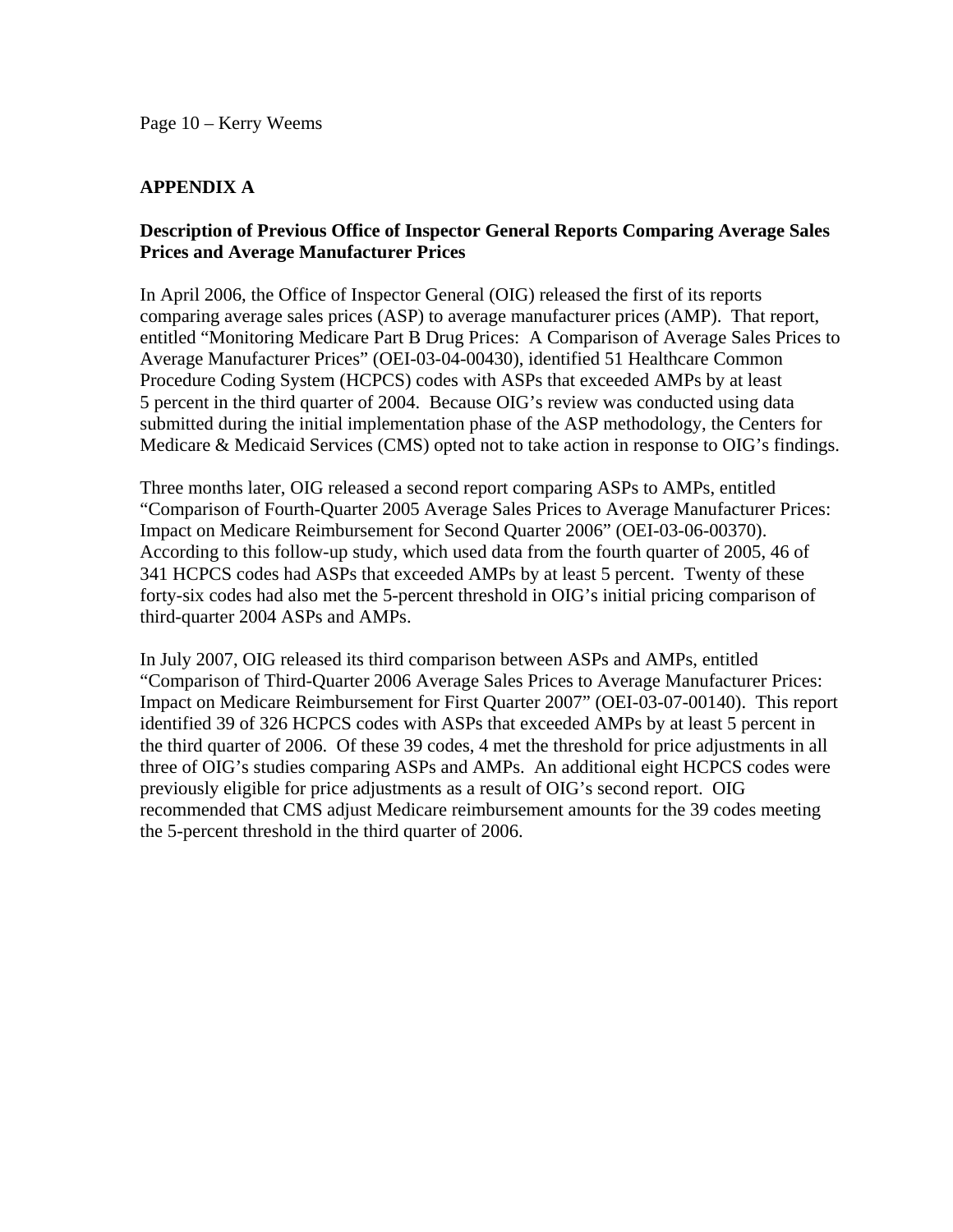## **APPENDIX A**

### **Description of Previous Office of Inspector General Reports Comparing Average Sales Prices and Average Manufacturer Prices**

In April 2006, the Office of Inspector General (OIG) released the first of its reports comparing average sales prices (ASP) to average manufacturer prices (AMP). That report, entitled "Monitoring Medicare Part B Drug Prices: A Comparison of Average Sales Prices to Average Manufacturer Prices" (OEI-03-04-00430), identified 51 Healthcare Common Procedure Coding System (HCPCS) codes with ASPs that exceeded AMPs by at least 5 percent in the third quarter of 2004. Because OIG's review was conducted using data submitted during the initial implementation phase of the ASP methodology, the Centers for Medicare & Medicaid Services (CMS) opted not to take action in response to OIG's findings.

Three months later, OIG released a second report comparing ASPs to AMPs, entitled "Comparison of Fourth-Quarter 2005 Average Sales Prices to Average Manufacturer Prices: Impact on Medicare Reimbursement for Second Quarter 2006" (OEI-03-06-00370). According to this follow-up study, which used data from the fourth quarter of 2005, 46 of 341 HCPCS codes had ASPs that exceeded AMPs by at least 5 percent. Twenty of these forty-six codes had also met the 5-percent threshold in OIG's initial pricing comparison of third-quarter 2004 ASPs and AMPs.

In July 2007, OIG released its third comparison between ASPs and AMPs, entitled "Comparison of Third-Quarter 2006 Average Sales Prices to Average Manufacturer Prices: Impact on Medicare Reimbursement for First Quarter 2007" (OEI-03-07-00140). This report identified 39 of 326 HCPCS codes with ASPs that exceeded AMPs by at least 5 percent in the third quarter of 2006. Of these 39 codes, 4 met the threshold for price adjustments in all three of OIG's studies comparing ASPs and AMPs. An additional eight HCPCS codes were previously eligible for price adjustments as a result of OIG's second report. OIG recommended that CMS adjust Medicare reimbursement amounts for the 39 codes meeting the 5-percent threshold in the third quarter of 2006.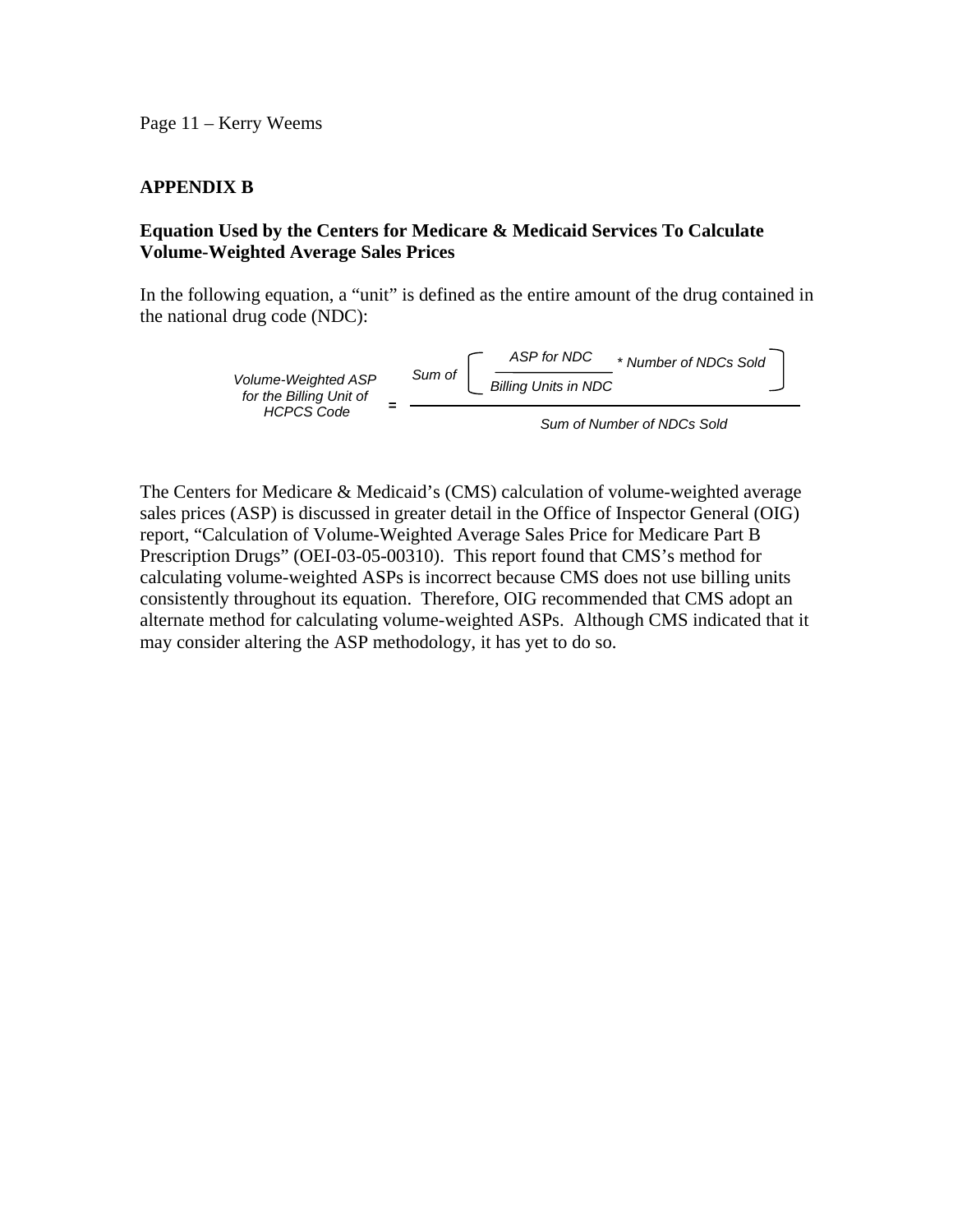Page 11 – Kerry Weems

## **APPENDIX B**

### **Equation Used by the Centers for Medicare & Medicaid Services To Calculate Volume-Weighted Average Sales Prices**

In the following equation, a "unit" is defined as the entire amount of the drug contained in the national drug code (NDC):



The Centers for Medicare & Medicaid's (CMS) calculation of volume-weighted average sales prices (ASP) is discussed in greater detail in the Office of Inspector General (OIG) report, "Calculation of Volume-Weighted Average Sales Price for Medicare Part B Prescription Drugs" (OEI-03-05-00310). This report found that CMS's method for calculating volume-weighted ASPs is incorrect because CMS does not use billing units consistently throughout its equation. Therefore, OIG recommended that CMS adopt an alternate method for calculating volume-weighted ASPs. Although CMS indicated that it may consider altering the ASP methodology, it has yet to do so.